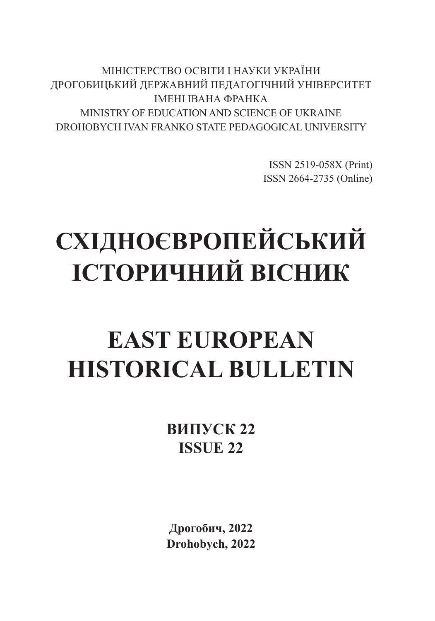МІНІСТЕРСТВО ОСВІТИ І НАУКИ УКРАЇНИ ДРОГОБИЦЬКИЙ ДЕРЖАВНИЙ ПЕДАГОГІЧНИЙ УНІВЕРСИТЕТ ІМЕНІ ІВАНА ФРАНКА MINISTRY OF EDUCATION AND SCIENCE OF UKRAINE DROHOBYCH IVAN FRANKO STATE PEDAGOGICAL UNIVERSITY

> ISSN 2519-058X (Print) ISSN 2664-2735 (Online)

# **СХІДНОЄВРОПЕЙСЬКИЙ ІСТОРИЧНИЙ ВІСНИК**

# **EAST EUROPEAN HISTORICAL BULLETIN**

**ВИПУСК 22 ISSUE 22**

**Дрогобич, 2022 Drohobych, 2022**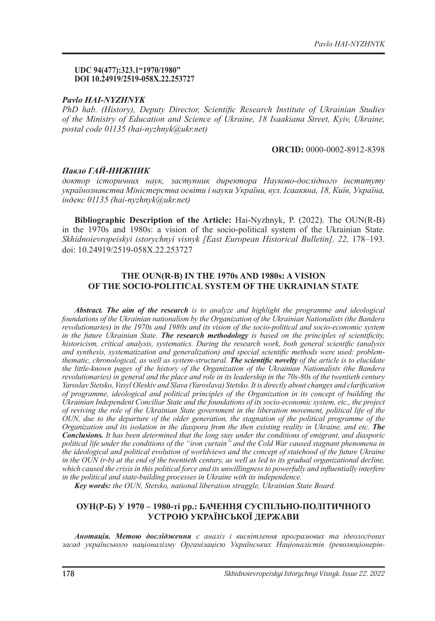#### **UDC 94(477):323.1"1970/1980" DOI 10.24919/2519-058X.22.253727**

### *Pavlo HAI-NYZHNYK*

*PhD hab. (History), Deputy Director, Scientific Research Institute of Ukrainian Studies of the Ministry of Education and Science of Ukraine, 18 Isaakiana Street, Kyiv, Ukraine, postal code 01135 (hai-nyzhnyk@ukr.net)*

#### **ORCID:** 0000-0002-8912-8398

## *Павло ГАЙ-НИЖНИК*

*доктор історичних наук, заступник директора Науково-дослідного інституту українознавства Міністерства освіти і науки України, вул. Ісаакяна, 18, Київ, Україна, індекс 01135 (hai-nyzhnyk@ukr.net)*

**Bibliographic Description of the Article:** Hai-Nyzhnyk, P. (2022). The OUN(R-B) in the 1970s and 1980s: a vision of the socio-political system of the Ukrainian State. *Skhidnoievropeiskyi istorychnyi visnyk [East European Historical Bulletin], 22,* 178–193. doi: 10.24919/2519-058X.22.253727

# **THE OUN(R-B) IN THE 1970s AND 1980s: A VISION OF THE SOCIO-POLITICAL SYSTEM OF THE UKRAINIAN STATE**

*Abstract. The aim of the research is to analyze and highlight the programme and ideological foundations of the Ukrainian nationalism by the Organization of the Ukrainian Nationalists (the Bandera revolutionaries) in the 1970s and 1980s and its vision of the socio-political and socio-economic system in the future Ukrainian State. The research methodology is based on the principles of scientificity, historicism, critical analysis, systematics. During the research work, both general scientific (analysis and synthesis, systematization and generalization) and special scientific methods were used: problemthematic, chronological, as well as system-structural. The scientific novelty of the article is to elucidate the little-known pages of the history of the Organization of the Ukrainian Nationalists (the Bandera revolutionaries) in general and the place and role in its leadership in the 70s-80s of the twentieth century Yaroslav Stetsko, Vasyl Oleskiv and Slava (Yaroslava) Stetsko. It is directly about changes and clarification of programme, ideological and political principles of the Organization in its concept of building the Ukrainian Independent Conciliar State and the foundations of its socio-economic system, etc., the project of reviving the role of the Ukrainian State government in the liberation movement, political life of the OUN, due to the departure of the older generation, the stagnation of the political programme of the Organization and its isolation in the diaspora from the then existing reality in Ukraine, and etc. The Conclusions. It has been determined that the long stay under the conditions of emigrant, and diasporic political life under the conditions of the "iron curtain" and the Cold War caused stagnant phenomena in the ideological and political evolution of worldviews and the concept of statehood of the future Ukraine in the OUN (r-b) at the end of the twentieth century, as well as led to its gradual organizational decline, which caused the crisis in this political force and its unwillingness to powerfully and influentially interfere in the political and state-building processes in Ukraine with its independence.*

*Key words: the OUN, Stetsko, national liberation struggle, Ukrainian State Board.*

# **ОУН(Р-Б) У 1970 – 1980-ті рр.: БАЧЕННЯ СУСПІЛЬНО-ПОЛІТИЧНОГО УСТРОЮ УКРАЇНСЬКОЇ ДЕРЖАВИ**

*Анотація. Метою дослідження є аналіз і висвітлення програмових та ідеологічних засад українського націоналізму Організацією Українських Націоналістів (революціонерів-*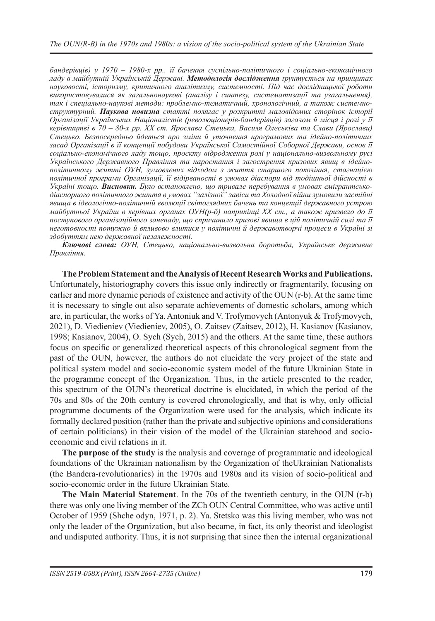*бандерівців) у 1970 – 1980-х рр., її бачення суспільно-політичного і соціально-економічного ладу в майбутній Українській Державі. Методологія дослідження ґрунтується на принципах науковості, історизму, критичного аналітизму, системності. Під час дослідницької роботи використовувалися як загальнонаукові (аналізу і синтезу, систематизації та узагальнення), так і спеціально-наукові методи: проблемно-тематичний, хронологічний, а також системноструктурний. Наукова новизна статті полягає у розкритті маловідомих сторінок історії Організації Українських Націоналістів (революціонерів-бандерівців) загалом й місця і ролі у її керівництві в 70 – 80-х рр. ХХ ст. Ярослава Стецька, Василя Олеськіва та Слави (Ярослави) Стецько. Безпосередньо йдеться про зміни й уточнення програмових та ідейно-політичних засад Організації в її концепції побудови Української Самостійної Соборної Держави, основ її соціально-економічного ладу тощо, проєкту відродження ролі у національно-визвольному русі Українського Державного Правління та наростання і загострення кризових явищ в ідейнополітичному житті ОУН, зумовлених відходом з життя старшого покоління, стагнацією політичної програми Організації, її відірваності в умовах діаспори від тодішньої дійсності в Україні тощо. Висновки. Було встановлено, що тривале перебування в умовах емігрантськодіаспорного політичного життя в умовах "залізної" завіси та Холодної війни зумовили застійні явища в ідеологічно-політичній еволюції світоглядних бачень та концепції державного устрою майбутньої України в керівних органах ОУН(р-б) наприкінці ХХ ст., а також призвело до її поступового організаційного занепаду, що спричинило кризові явища в цій політичній силі та її неготовності потужно й впливово влитися у політичні й державотворчі процеси в Україні зі здобуттям нею державної незалежності.*

*Ключові слова: ОУН, Стецько, національно-визвольна боротьба, Українське державне Правління.*

**The Problem Statement and the Analysis of Recent Research Works and Publications.** Unfortunately, historiography covers this issue only indirectly or fragmentarily, focusing on earlier and more dynamic periods of existence and activity of the OUN (r-b). At the same time it is necessary to single out also separate achievements of domestic scholars, among which are, in particular, the works of Ya. Antoniuk and V. Trofymovych (Antonyuk & Trofymovych, 2021), D. Viedieniev (Viedieniev, 2005), О. Zaitsev (Zaitsev, 2012), H. Каsianov (Каsianov, 1998; Каsianov, 2004), О. Sych (Sych, 2015) and the others. At the same time, these authors focus on specific or generalized theoretical aspects of this chronological segment from the past of the OUN, however, the authors do not elucidate the very project of the state and political system model and socio-economic system model of the future Ukrainian State in the programme concept of the Organization. Thus, in the article presented to the reader, this spectrum of the OUN's theoretical doctrine is elucidated, in which the period of the 70s and 80s of the 20th century is covered chronologically, and that is why, only official programme documents of the Organization were used for the analysis, which indicate its formally declared position (rather than the private and subjective opinions and considerations of certain politicians) in their vision of the model of the Ukrainian statehood and socioeconomic and civil relations in it.

**The purpose of the study** is the analysis and coverage of programmatic and ideological foundations of the Ukrainian nationalism by the Organization of theUkrainian Nationalists (the Bandera-revolutionaries) in the 1970s and 1980s and its vision of socio-political and socio-economic order in the future Ukrainian State.

**The Main Material Statement**. In the 70s of the twentieth century, in the OUN (r-b) there was only one living member of the ZCh OUN Central Committee, who was active until October of 1959 (Shche odyn, 1971, p. 2). Ya. Stetsko was this living member, who was not only the leader of the Organization, but also became, in fact, its only theorist and ideologist and undisputed authority. Thus, it is not surprising that since then the internal organizational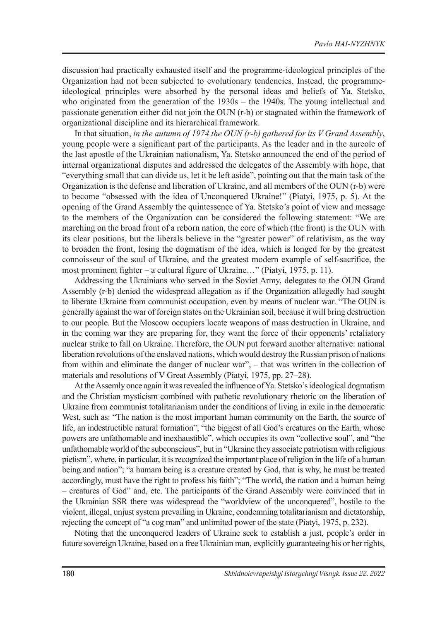discussion had practically exhausted itself and the programme-ideological principles of the Organization had not been subjected to evolutionary tendencies. Instead, the programmeideological principles were absorbed by the personal ideas and beliefs of Ya. Stetsko, who originated from the generation of the 1930s – the 1940s. The young intellectual and passionate generation either did not join the OUN (r-b) or stagnated within the framework of organizational discipline and its hierarchical framework.

In that situation, *in the autumn of 1974 the OUN (r-b) gathered for its V Grand Assembly*, young people were a significant part of the participants. As the leader and in the aureole of the last apostle of the Ukrainian nationalism, Ya. Stetsko announced the end of the period of internal organizational disputes and addressed the delegates of the Assembly with hope, that "everything small that can divide us, let it be left aside", pointing out that the main task of the Organization is the defense and liberation of Ukraine, and all members of the OUN (r-b) were to become "obsessed with the idea of Unconquered Ukraine!" (Piatyi, 1975, p. 5). At the opening of the Grand Assembly the quintessence of Ya. Stetsko's point of view and message to the members of the Organization can be considered the following statement: "We are marching on the broad front of a reborn nation, the core of which (the front) is the OUN with its clear positions, but the liberals believe in the "greater power" of relativism, as the way to broaden the front, losing the dogmatism of the idea, which is longed for by the greatest connoisseur of the soul of Ukraine, and the greatest modern example of self-sacrifice, the most prominent fighter – a cultural figure of Ukraine…" (Piatyi, 1975, p. 11).

Addressing the Ukrainians who served in the Soviet Army, delegates to the OUN Grand Assembly (r-b) denied the widespread allegation as if the Organization allegedly had sought to liberate Ukraine from communist occupation, even by means of nuclear war. "The OUN is generally against the war of foreign states on the Ukrainian soil, because it will bring destruction to our people. But the Moscow occupiers locate weapons of mass destruction in Ukraine, and in the coming war they are preparing for, they want the force of their opponents' retaliatory nuclear strike to fall on Ukraine. Therefore, the OUN put forward another alternative: national liberation revolutions of the enslaved nations, which would destroy the Russian prison of nations from within and eliminate the danger of nuclear war", – that was written in the collection of materials and resolutions of V Great Assembly (Piatyi, 1975, pp. 27–28).

At the Assemly once again it was revealed the influence of Ya. Stetsko's ideological dogmatism and the Christian mysticism combined with pathetic revolutionary rhetoric on the liberation of Ukraine from communist totalitarianism under the conditions of living in exile in the democratic West, such as: "The nation is the most important human community on the Earth, the source of life, an indestructible natural formation", "the biggest of all God's creatures on the Earth, whose powers are unfathomable and inexhaustible", which occupies its own "collective soul", and "the unfathomable world of the subconscious", but in "Ukraine they associate patriotism with religious pietism", where, in particular, it is recognized the important place of religion in the life of a human being and nation"; "a humam being is a creature created by God, that is why, he must be treated accordingly, must have the right to profess his faith"; "The world, the nation and a human being – creatures of God" and, etc. The participants of the Grand Assembly were convinced that in the Ukrainian SSR there was widespread the "worldview of the unconquered", hostile to the violent, illegal, unjust system prevailing in Ukraine, condemning totalitarianism and dictatorship, rejecting the concept of "a cog man" and unlimited power of the state (Piatyi, 1975, p. 232).

Noting that the unconquered leaders of Ukraine seek to establish a just, people's order in future sovereign Ukraine, based on a free Ukrainian man, explicitly guaranteeing his or her rights,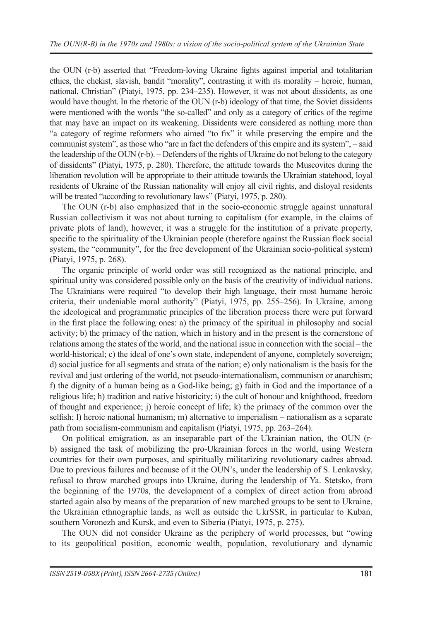the OUN (r-b) asserted that "Freedom-loving Ukraine fights against imperial and totalitarian ethics, the chekist, slavish, bandit "morality", contrasting it with its morality – heroic, human, national, Christian" (Piatyi, 1975, pp. 234–235). However, it was not about dissidents, as one would have thought. In the rhetoric of the OUN (r-b) ideology of that time, the Soviet dissidents were mentioned with the words "the so-called" and only as a category of critics of the regime that may have an impact on its weakening. Dissidents were considered as nothing more than "a category of regime reformers who aimed "to fix" it while preserving the empire and the communist system", as those who "are in fact the defenders of this empire and its system", – said the leadership of the OUN (r-b). – Defenders of the rights of Ukraine do not belong to the category of dissidents" (Piatyi, 1975, p. 280). Therefore, the attitude towards the Muscovites during the liberation revolution will be appropriate to their attitude towards the Ukrainian statehood, loyal residents of Ukraine of the Russian nationality will enjoy all civil rights, and disloyal residents will be treated "according to revolutionary laws" (Piatyi, 1975, p. 280).

The OUN (r-b) also emphasized that in the socio-economic struggle against unnatural Russian collectivism it was not about turning to capitalism (for example, in the claims of private plots of land), however, it was a struggle for the institution of a private property, specific to the spirituality of the Ukrainian people (therefore against the Russian flock social system, the "community", for the free development of the Ukrainian socio-political system) (Piatyi, 1975, p. 268).

The organic principle of world order was still recognized as the national principle, and spiritual unity was considered possible only on the basis of the creativity of individual nations. The Ukrainians were required "to develop their high language, their most humane heroic criteria, their undeniable moral authority" (Piatyi, 1975, pp. 255–256). In Ukraine, among the ideological and programmatic principles of the liberation process there were put forward in the first place the following ones: а) the primacy of the spiritual in philosophy and social activity; b) the primacy of the nation, which in history and in the present is the cornerstone of relations among the states of the world, and the national issue in connection with the social – the world-historical; c) the ideal of one's own state, independent of anyone, completely sovereign; d) social justice for all segments and strata of the nation; e) only nationalism is the basis for the revival and just ordering of the world, not pseudo-internationalism, communism or anarchism; f) the dignity of a human being as a God-like being; g) faith in God and the importance of a religious life; h) tradition and native historicity; i) the cult of honour and knighthood, freedom of thought and experience; j) heroic concept of life; k) the primacy of the common over the selfish; l) heroic national humanism; m) alternative to imperialism – nationalism as a separate path from socialism-communism and capitalism (Piatyi, 1975, pp. 263–264).

On political emigration, as an inseparable part of the Ukrainian nation, the OUN (rb) assigned the task of mobilizing the pro-Ukrainian forces in the world, using Western countries for their own purposes, and spiritually militarizing revolutionary cadres abroad. Due to previous failures and because of it the OUN's, under the leadership of S. Lenkavsky, refusal to throw marched groups into Ukraine, during the leadership of Ya. Stetsko, from the beginning of the 1970s, the development of a complex of direct action from abroad started again also by means of the preparation of new marched groups to be sent to Ukraine, the Ukrainian ethnographic lands, as well as outside the UkrSSR, in particular to Kuban, southern Voronezh and Kursk, and even to Siberia (Piatyi, 1975, p. 275).

The OUN did not consider Ukraine as the periphery of world processes, but "owing to its geopolitical position, economic wealth, population, revolutionary and dynamic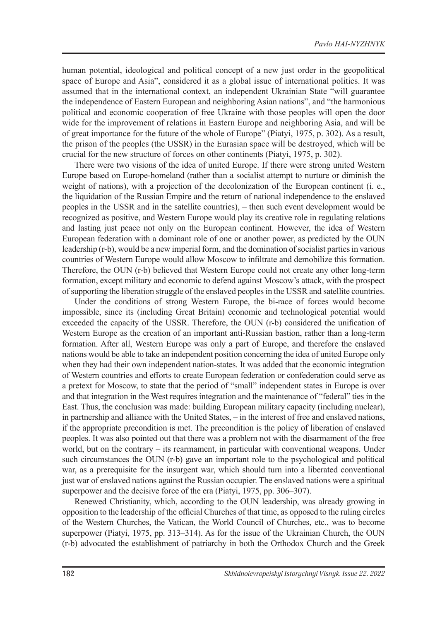human potential, ideological and political concept of a new just order in the geopolitical space of Europe and Asia", considered it as a global issue of international politics. It was assumed that in the international context, an independent Ukrainian State "will guarantee the independence of Eastern European and neighboring Asian nations", and "the harmonious political and economic cooperation of free Ukraine with those peoples will open the door wide for the improvement of relations in Eastern Europe and neighboring Asia, and will be of great importance for the future of the whole of Europe" (Piatyi, 1975, p. 302). As a result, the prison of the peoples (the USSR) in the Eurasian space will be destroyed, which will be crucial for the new structure of forces on other continents (Piatyi, 1975, p. 302).

There were two visions of the idea of united Europe. If there were strong united Western Europe based on Europe-homeland (rather than a socialist attempt to nurture or diminish the weight of nations), with a projection of the decolonization of the European continent (i. e., the liquidation of the Russian Empire and the return of national independence to the enslaved peoples in the USSR and in the satellite countries), – then such event development would be recognized as positive, and Western Europe would play its creative role in regulating relations and lasting just peace not only on the European continent. However, the idea of Western European federation with a dominant role of one or another power, as predicted by the OUN leadership (r-b), would be a new imperial form, and the domination of socialist parties in various countries of Western Europe would allow Moscow to infiltrate and demobilize this formation. Therefore, the OUN (r-b) believed that Western Europe could not create any other long-term formation, except military and economic to defend against Moscow's attack, with the prospect of supporting the liberation struggle of the enslaved peoples in the USSR and satellite countries.

Under the conditions of strong Western Europe, the bi-race of forces would become impossible, since its (including Great Britain) economic and technological potential would exceeded the capacity of the USSR. Therefore, the OUN (r-b) considered the unification of Western Europe as the creation of an important anti-Russian bastion, rather than a long-term formation. After all, Western Europe was only a part of Europe, and therefore the enslaved nations would be able to take an independent position concerning the idea of united Europe only when they had their own independent nation-states. It was added that the economic integration of Western countries and efforts to create European federation or confederation could serve as a pretext for Moscow, to state that the period of "small" independent states in Europe is over and that integration in the West requires integration and the maintenance of "federal" ties in the East. Thus, the conclusion was made: building European military capacity (including nuclear), in partnership and alliance with the United States, – in the interest of free and enslaved nations, if the appropriate precondition is met. The precondition is the policy of liberation of enslaved peoples. It was also pointed out that there was a problem not with the disarmament of the free world, but on the contrary – its rearmament, in particular with conventional weapons. Under such circumstances the OUN (r-b) gave an important role to the psychological and political war, as a prerequisite for the insurgent war, which should turn into a liberated conventional just war of enslaved nations against the Russian occupier. The enslaved nations were a spiritual superpower and the decisive force of the era (Piatyi, 1975, pp. 306–307).

Renewed Christianity, which, according to the OUN leadership, was already growing in opposition to the leadership of the official Churches of that time, as opposed to the ruling circles of the Western Churches, the Vatican, the World Council of Churches, etc., was to become superpower (Piatyi, 1975, pp. 313–314). As for the issue of the Ukrainian Church, the OUN (r-b) advocated the establishment of patriarchy in both the Orthodox Church and the Greek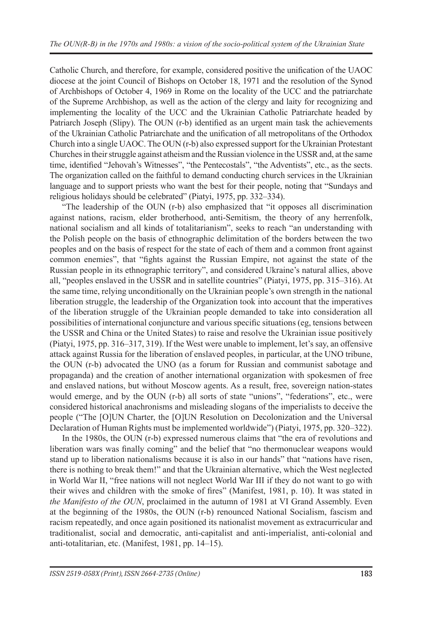Catholic Church, and therefore, for example, considered positive the unification of the UAOC diocese at the joint Council of Bishops on October 18, 1971 and the resolution of the Synod of Archbishops of October 4, 1969 in Rome on the locality of the UCC and the patriarchate of the Supreme Archbishop, as well as the action of the clergy and laity for recognizing and implementing the locality of the UCC and the Ukrainian Catholic Patriarchate headed by Patriarch Joseph (Slipy). The OUN (r-b) identified as an urgent main task the achievements of the Ukrainian Catholic Patriarchate and the unification of all metropolitans of the Orthodox Church into a single UAOC. The OUN (r-b) also expressed support for the Ukrainian Protestant Churches in their struggle against atheism and the Russian violence in the USSR and, at the same time, identified "Jehovah's Witnesses", "the Pentecostals", "the Adventists", etc., as the sects. The organization called on the faithful to demand conducting church services in the Ukrainian language and to support priests who want the best for their people, noting that "Sundays and religious holidays should be celebrated" (Piatyi, 1975, pp. 332–334).

"The leadership of the OUN (r-b) also emphasized that "it opposes all discrimination against nations, racism, elder brotherhood, anti-Semitism, the theory of any herrenfolk, national socialism and all kinds of totalitarianism", seeks to reach "an understanding with the Polish people on the basis of ethnographic delimitation of the borders between the two peoples and on the basis of respect for the state of each of them and a common front against common enemies", that "fights against the Russian Empire, not against the state of the Russian people in its ethnographic territory", and considered Ukraine's natural allies, above all, "peoples enslaved in the USSR and in satellite countries" (Piatyi, 1975, pp. 315–316). At the same time, relying unconditionally on the Ukrainian people's own strength in the national liberation struggle, the leadership of the Organization took into account that the imperatives of the liberation struggle of the Ukrainian people demanded to take into consideration all possibilities of international conjuncture and various specific situations (eg, tensions between the USSR and China or the United States) to raise and resolve the Ukrainian issue positively (Piatyi, 1975, pp. 316–317, 319). If the West were unable to implement, let's say, an offensive attack against Russia for the liberation of enslaved peoples, in particular, at the UNO tribune, the OUN (r-b) advocated the UNO (as a forum for Russian and communist sabotage and propaganda) and the creation of another international organization with spokesmen of free and enslaved nations, but without Moscow agents. As a result, free, sovereign nation-states would emerge, and by the OUN (r-b) all sorts of state "unions", "federations", etc., were considered historical anachronisms and misleading slogans of the imperialists to deceive the people ("The [O]UN Charter, the [O]UN Resolution on Decolonization and the Universal Declaration of Human Rights must be implemented worldwide") (Piatyi, 1975, pp. 320–322).

In the 1980s, the OUN (r-b) expressed numerous claims that "the era of revolutions and liberation wars was finally coming" and the belief that "no thermonuclear weapons would stand up to liberation nationalisms because it is also in our hands" that "nations have risen, there is nothing to break them!" and that the Ukrainian alternative, which the West neglected in World War II, "free nations will not neglect World War III if they do not want to go with their wives and children with the smoke of fires" (Manifest, 1981, p. 10). It was stated in *the Manifesto of the OUN*, proclaimed in the autumn of 1981 at VI Grand Assembly. Even at the beginning of the 1980s, the OUN (r-b) renounced National Socialism, fascism and racism repeatedly, and once again positioned its nationalist movement as extracurricular and traditionalist, social and democratic, anti-capitalist and anti-imperialist, anti-colonial and anti-totalitarian, etc. (Manifest, 1981, pp. 14–15).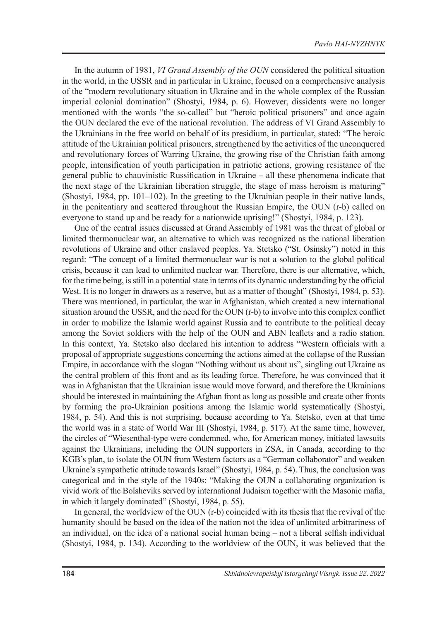In the autumn of 1981, *VI Grand Assembly of the OUN* considered the political situation in the world, in the USSR and in particular in Ukraine, focused on a comprehensive analysis of the "modern revolutionary situation in Ukraine and in the whole complex of the Russian imperial colonial domination" (Shostyi, 1984, p. 6). However, dissidents were no longer mentioned with the words "the so-called" but "heroic political prisoners" and once again the OUN declared the eve of the national revolution. The address of VI Grand Assembly to the Ukrainians in the free world on behalf of its presidium, in particular, stated: "The heroic attitude of the Ukrainian political prisoners, strengthened by the activities of the unconquered and revolutionary forces of Warring Ukraine, the growing rise of the Christian faith among people, intensification of youth participation in patriotic actions, growing resistance of the general public to chauvinistic Russification in Ukraine – all these phenomena indicate that the next stage of the Ukrainian liberation struggle, the stage of mass heroism is maturing" (Shostyi, 1984, pp. 101–102). In the greeting to the Ukrainian people in their native lands, in the penitentiary and scattered throughout the Russian Empire, the OUN (r-b) called on everyone to stand up and be ready for a nationwide uprising!" (Shostyi, 1984, p. 123).

One of the central issues discussed at Grand Assembly of 1981 was the threat of global or limited thermonuclear war, an alternative to which was recognized as the national liberation revolutions of Ukraine and other enslaved peoples. Ya. Stetsko ("St. Osinsky") noted in this regard: "The concept of a limited thermonuclear war is not a solution to the global political crisis, because it can lead to unlimited nuclear war. Therefore, there is our alternative, which, for the time being, is still in a potential state in terms of its dynamic understanding by the official West. It is no longer in drawers as a reserve, but as a matter of thought" (Shostyi, 1984, p. 53). There was mentioned, in particular, the war in Afghanistan, which created a new international situation around the USSR, and the need for the OUN (r-b) to involve into this complex conflict in order to mobilize the Islamic world against Russia and to contribute to the political decay among the Soviet soldiers with the help of the OUN and ABN leaflets and a radio station. In this context, Ya. Stetsko also declared his intention to address "Western officials with a proposal of appropriate suggestions concerning the actions aimed at the collapse of the Russian Empire, in accordance with the slogan "Nothing without us about us", singling out Ukraine as the central problem of this front and as its leading force. Therefore, he was convinced that it was in Afghanistan that the Ukrainian issue would move forward, and therefore the Ukrainians should be interested in maintaining the Afghan front as long as possible and create other fronts by forming the pro-Ukrainian positions among the Islamic world systematically (Shostyi, 1984, p. 54). And this is not surprising, because according to Ya. Stetsko, even at that time the world was in a state of World War III (Shostyi, 1984, p. 517). At the same time, however, the circles of "Wiesenthal-type were condemned, who, for American money, initiated lawsuits against the Ukrainians, including the OUN supporters in ZSA, in Canada, according to the KGB's plan, to isolate the OUN from Western factors as a "German collaborator" and weaken Ukraine's sympathetic attitude towards Israel" (Shostyi, 1984, p. 54). Thus, the conclusion was categorical and in the style of the 1940s: "Making the OUN a collaborating organization is vivid work of the Bolsheviks served by international Judaism together with the Masonic mafia, in which it largely dominated" (Shostyi, 1984, p. 55).

In general, the worldview of the OUN (r-b) coincided with its thesis that the revival of the humanity should be based on the idea of the nation not the idea of unlimited arbitrariness of an individual, on the idea of a national social human being – not a liberal selfish individual (Shostyi, 1984, p. 134). According to the worldview of the OUN, it was believed that the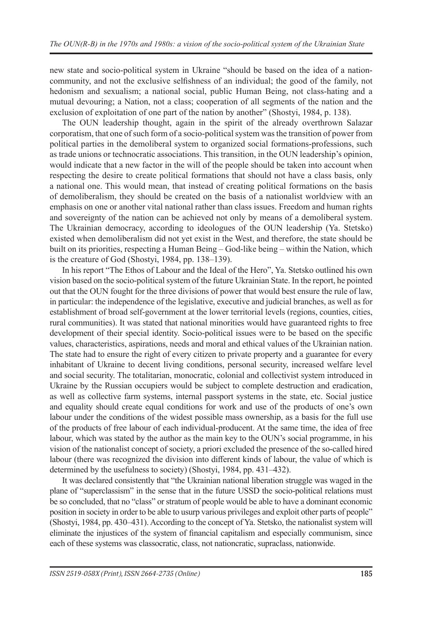new state and socio-political system in Ukraine "should be based on the idea of a nationcommunity, and not the exclusive selfishness of an individual; the good of the family, not hedonism and sexualism; a national social, public Human Being, not class-hating and a mutual devouring; a Nation, not a class; cooperation of all segments of the nation and the exclusion of exploitation of one part of the nation by another" (Shostyi, 1984, p. 138).

The OUN leadership thought, again in the spirit of the already overthrown Salazar corporatism, that one of such form of a socio-political system was the transition of power from political parties in the demoliberal system to organized social formations-professions, such as trade unions or technocratic associations. This transition, in the OUN leadership's opinion, would indicate that a new factor in the will of the people should be taken into account when respecting the desire to create political formations that should not have a class basis, only a national one. This would mean, that instead of creating political formations on the basis of demoliberalism, they should be created on the basis of a nationalist worldview with an emphasis on one or another vital national rather than class issues. Freedom and human rights and sovereignty of the nation can be achieved not only by means of a demoliberal system. The Ukrainian democracy, according to ideologues of the OUN leadership (Ya. Stetsko) existed when demoliberalism did not yet exist in the West, and therefore, the state should be built on its priorities, respecting a Human Being – God-like being – within the Nation, which is the creature of God (Shostyi, 1984, pp. 138–139).

In his report "The Ethos of Labour and the Ideal of the Hero", Ya. Stetsko outlined his own vision based on the socio-political system of the future Ukrainian State. In the report, he pointed out that the OUN fought for the three divisions of power that would best ensure the rule of law, in particular: the independence of the legislative, executive and judicial branches, as well as for establishment of broad self-government at the lower territorial levels (regions, counties, cities, rural communities). It was stated that national minorities would have guaranteed rights to free development of their special identity. Socio-political issues were to be based on the specific values, characteristics, aspirations, needs and moral and ethical values of the Ukrainian nation. The state had to ensure the right of every citizen to private property and a guarantee for every inhabitant of Ukraine to decent living conditions, personal security, increased welfare level and social security. The totalitarian, monocratic, colonial and collectivist system introduced in Ukraine by the Russian occupiers would be subject to complete destruction and eradication, as well as collective farm systems, internal passport systems in the state, etc. Social justice and equality should create equal conditions for work and use of the products of one's own labour under the conditions of the widest possible mass ownership, as a basis for the full use of the products of free labour of each individual-producent. At the same time, the idea of free labour, which was stated by the author as the main key to the OUN's social programme, in his vision of the nationalist concept of society, a priori excluded the presence of the so-called hired labour (there was recognized the division into different kinds of labour, the value of which is determined by the usefulness to society) (Shostyi, 1984, pp. 431–432).

It was declared consistently that "the Ukrainian national liberation struggle was waged in the plane of "superclassism" in the sense that in the future USSD the socio-political relations must be so concluded, that no "class" or stratum of people would be able to have a dominant economic position in society in order to be able to usurp various privileges and exploit other parts of people" (Shostyi, 1984, pp. 430–431). According to the concept of Ya. Stetsko, the nationalist system will eliminate the injustices of the system of financial capitalism and especially communism, since each of these systems was classocratic, class, not nationcratic, supraclass, nationwide.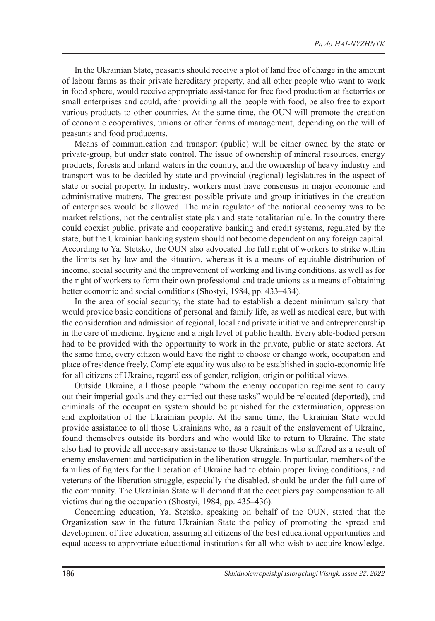In the Ukrainian State, peasants should receive a plot of land free of charge in the amount of labour farms as their private hereditary property, and all other people who want to work in food sphere, would receive appropriate assistance for free food production at factorries or small enterprises and could, after providing all the people with food, be also free to export various products to other countries. At the same time, the OUN will promote the creation of economic cooperatives, unions or other forms of management, depending on the will of peasants and food producents.

Means of communication and transport (public) will be either owned by the state or private-group, but under state control. The issue of ownership of mineral resources, energy products, forests and inland waters in the country, and the ownership of heavy industry and transport was to be decided by state and provincial (regional) legislatures in the aspect of state or social property. In industry, workers must have consensus in major economic and administrative matters. The greatest possible private and group initiatives in the creation of enterprises would be allowed. The main regulator of the national economy was to be market relations, not the centralist state plan and state totalitarian rule. In the country there could coexist public, private and cooperative banking and credit systems, regulated by the state, but the Ukrainian banking system should not become dependent on any foreign capital. According to Ya. Stetsko, the OUN also advocated the full right of workers to strike within the limits set by law and the situation, whereas it is a means of equitable distribution of income, social security and the improvement of working and living conditions, as well as for the right of workers to form their own professional and trade unions as a means of obtaining better economic and social conditions (Shostyi, 1984, pp. 433–434).

In the area of social security, the state had to establish a decent minimum salary that would provide basic conditions of personal and family life, as well as medical care, but with the consideration and admission of regional, local and private initiative and entrepreneurship in the care of medicine, hygiene and a high level of public health. Every able-bodied person had to be provided with the opportunity to work in the private, public or state sectors. At the same time, every citizen would have the right to choose or change work, occupation and place of residence freely. Complete equality was also to be established in socio-economic life for all citizens of Ukraine, regardless of gender, religion, origin or political views.

Outside Ukraine, all those people "whom the enemy occupation regime sent to carry out their imperial goals and they carried out these tasks" would be relocated (deported), and criminals of the occupation system should be punished for the extermination, oppression and exploitation of the Ukrainian people. At the same time, the Ukrainian State would provide assistance to all those Ukrainians who, as a result of the enslavement of Ukraine, found themselves outside its borders and who would like to return to Ukraine. The state also had to provide all necessary assistance to those Ukrainians who suffered as a result of enemy enslavement and participation in the liberation struggle. In particular, members of the families of fighters for the liberation of Ukraine had to obtain proper living conditions, and veterans of the liberation struggle, especially the disabled, should be under the full care of the community. The Ukrainian State will demand that the occupiers pay compensation to all victims during the occupation (Shostyi, 1984, pp. 435–436).

Concerning education, Ya. Stetsko, speaking on behalf of the OUN, stated that the Organization saw in the future Ukrainian State the policy of promoting the spread and development of free education, assuring all citizens of the best educational opportunities and equal access to appropriate educational institutions for all who wish to acquire knowledge.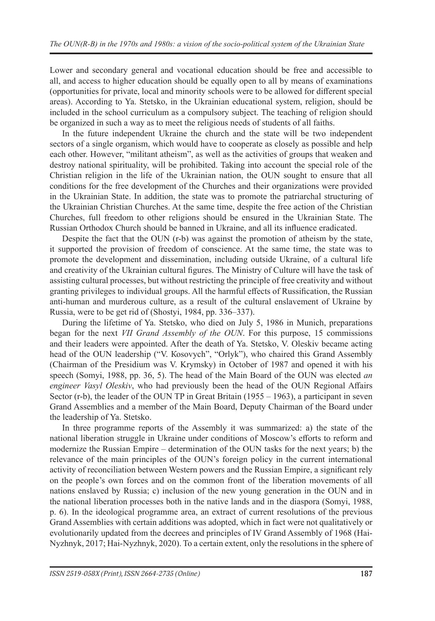Lower and secondary general and vocational education should be free and accessible to all, and access to higher education should be equally open to all by means of examinations (opportunities for private, local and minority schools were to be allowed for different special areas). According to Ya. Stetsko, in the Ukrainian educational system, religion, should be included in the school curriculum as a compulsory subject. The teaching of religion should be organized in such a way as to meet the religious needs of students of all faiths.

In the future independent Ukraine the church and the state will be two independent sectors of a single organism, which would have to cooperate as closely as possible and help each other. However, "militant atheism", as well as the activities of groups that weaken and destroy national spirituality, will be prohibited. Taking into account the special role of the Christian religion in the life of the Ukrainian nation, the OUN sought to ensure that all conditions for the free development of the Churches and their organizations were provided in the Ukrainian State. In addition, the state was to promote the patriarchal structuring of the Ukrainian Christian Churches. At the same time, despite the free action of the Christian Churches, full freedom to other religions should be ensured in the Ukrainian State. The Russian Orthodox Church should be banned in Ukraine, and all its influence eradicated.

Despite the fact that the OUN (r-b) was against the promotion of atheism by the state, it supported the provision of freedom of conscience. At the same time, the state was to promote the development and dissemination, including outside Ukraine, of a cultural life and creativity of the Ukrainian cultural figures. The Ministry of Culture will have the task of assisting cultural processes, but without restricting the principle of free creativity and without granting privileges to individual groups. All the harmful effects of Russification, the Russian anti-human and murderous culture, as a result of the cultural enslavement of Ukraine by Russia, were to be get rid of (Shostyi, 1984, pp. 336–337).

During the lifetime of Ya. Stetsko, who died on July 5, 1986 in Munich, preparations began for the next *VII Grand Assembly of the OUN*. For this purpose, 15 commissions and their leaders were appointed. After the death of Ya. Stetsko, V. Oleskiv became acting head of the OUN leadership ("V. Коsovych", "Оrlyk"), who chaired this Grand Assembly (Chairman of the Presidium was V. Krymsky) in October of 1987 and opened it with his speech (Somyi, 1988, pp. 36, 5). The head of the Main Board of the OUN was elected *an engineer Vasyl Oleskiv*, who had previously been the head of the OUN Regional Affairs Sector  $(r-b)$ , the leader of the OUN TP in Great Britain (1955 – 1963), a participant in seven Grand Assemblies and a member of the Main Board, Deputy Chairman of the Board under the leadership of Ya. Stetsko.

In three programme reports of the Assembly it was summarized: a) the state of the national liberation struggle in Ukraine under conditions of Moscow's efforts to reform and modernize the Russian Empire – determination of the OUN tasks for the next years; b) the relevance of the main principles of the OUN's foreign policy in the current international activity of reconciliation between Western powers and the Russian Empire, a significant rely on the people's own forces and on the common front of the liberation movements of all nations enslaved by Russia; c) inclusion of the new young generation in the OUN and in the national liberation processes both in the native lands and in the diaspora (Somyi, 1988, p. 6). In the ideological programme area, an extract of current resolutions of the previous Grand Assemblies with certain additions was adopted, which in fact were not qualitatively or evolutionarily updated from the decrees and principles of IV Grand Assembly of 1968 (Hai-Nyzhnyk, 2017; Hai-Nyzhnyk, 2020). To a certain extent, only the resolutions in the sphere of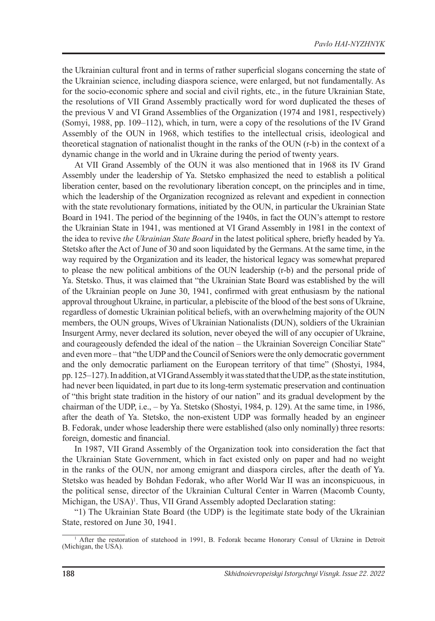the Ukrainian cultural front and in terms of rather superficial slogans concerning the state of the Ukrainian science, including diaspora science, were enlarged, but not fundamentally. As for the socio-economic sphere and social and civil rights, etc., in the future Ukrainian State, the resolutions of VII Grand Assembly practically word for word duplicated the theses of the previous V and VI Grand Assemblies of the Organization (1974 and 1981, respectively) (Somyi, 1988, pp. 109–112), which, in turn, were a copy of the resolutions of the IV Grand Assembly of the OUN in 1968, which testifies to the intellectual crisis, ideological and theoretical stagnation of nationalist thought in the ranks of the OUN (r-b) in the context of a dynamic change in the world and in Ukraine during the period of twenty years.

At VII Grand Assembly of the OUN it was also mentioned that in 1968 its IV Grand Assembly under the leadership of Ya. Stetsko emphasized the need to establish a political liberation center, based on the revolutionary liberation concept, on the principles and in time, which the leadership of the Organization recognized as relevant and expedient in connection with the state revolutionary formations, initiated by the OUN, in particular the Ukrainian State Board in 1941. The period of the beginning of the 1940s, in fact the OUN's attempt to restore the Ukrainian State in 1941, was mentioned at VI Grand Assembly in 1981 in the context of the idea to revive *the Ukrainian State Board* in the latest political sphere, briefly headed by Ya. Stetsko after the Act of June of 30 and soon liquidated by the Germans. At the same time, in the way required by the Organization and its leader, the historical legacy was somewhat prepared to please the new political ambitions of the OUN leadership (r-b) and the personal pride of Ya. Stetsko. Thus, it was claimed that "the Ukrainian State Board was established by the will of the Ukrainian people on June 30, 1941, confirmed with great enthusiasm by the national approval throughout Ukraine, in particular, a plebiscite of the blood of the best sons of Ukraine, regardless of domestic Ukrainian political beliefs, with an overwhelming majority of the OUN members, the OUN groups, Wives of Ukrainian Nationalists (DUN), soldiers of the Ukrainian Insurgent Army, never declared its solution, never obeyed the will of any occupier of Ukraine, and courageously defended the ideal of the nation – the Ukrainian Sovereign Conciliar State" and even more – that "the UDP and the Council of Seniors were the only democratic government and the only democratic parliament on the European territory of that time" (Shostyi, 1984, pp. 125–127). In addition, at VI Grand Assembly it was stated that the UDP, as the state institution, had never been liquidated, in part due to its long-term systematic preservation and continuation of "this bright state tradition in the history of our nation" and its gradual development by the chairman of the UDP, i.e., – by Ya. Stetsko (Shostyi, 1984, p. 129). At the same time, in 1986, after the death of Ya. Stetsko, the non-existent UDP was formally headed by an engineer B. Fedorak, under whose leadership there were established (also only nominally) three resorts: foreign, domestic and financial.

In 1987, VII Grand Assembly of the Organization took into consideration the fact that the Ukrainian State Government, which in fact existed only on paper and had no weight in the ranks of the OUN, nor among emigrant and diaspora circles, after the death of Ya. Stetsko was headed by Bohdan Fedorak, who after World War II was an inconspicuous, in the political sense, director of the Ukrainian Cultural Center in Warren (Macomb County, Michigan, the USA)<sup>1</sup>. Thus, VII Grand Assembly adopted Declaration stating:

"1) The Ukrainian State Board (the UDP) is the legitimate state body of the Ukrainian State, restored on June 30, 1941.

<sup>&</sup>lt;sup>1</sup> After the restoration of statehood in 1991, B. Fedorak became Honorary Consul of Ukraine in Detroit (Michigan, the USA).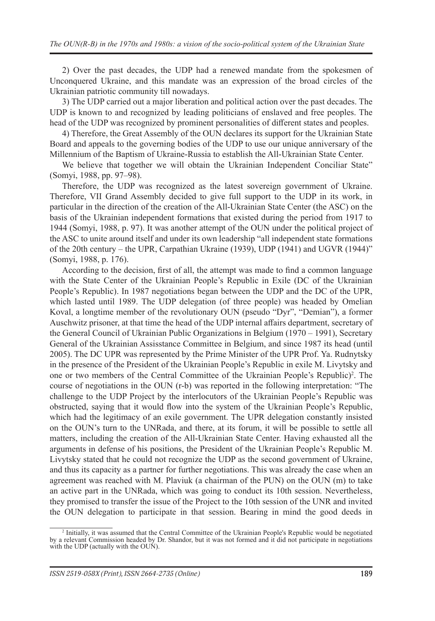2) Over the past decades, the UDP had a renewed mandate from the spokesmen of Unconquered Ukraine, and this mandate was an expression of the broad circles of the Ukrainian patriotic community till nowadays.

3) The UDP carried out a major liberation and political action over the past decades. The UDP is known to and recognized by leading politicians of enslaved and free peoples. The head of the UDP was recognized by prominent personalities of different states and peoples.

4) Therefore, the Great Assembly of the OUN declares its support for the Ukrainian State Board and appeals to the governing bodies of the UDP to use our unique anniversary of the Millennium of the Baptism of Ukraine-Russia to establish the All-Ukrainian State Center.

We believe that together we will obtain the Ukrainian Independent Conciliar State" (Somyi, 1988, pp. 97–98).

Therefore, the UDP was recognized as the latest sovereign government of Ukraine. Therefore, VII Grand Assembly decided to give full support to the UDP in its work, in particular in the direction of the creation of the All-Ukrainian State Center (the ASC) on the basis of the Ukrainian independent formations that existed during the period from 1917 to 1944 (Somyi, 1988, p. 97). It was another attempt of the OUN under the political project of the ASC to unite around itself and under its own leadership "all independent state formations of the 20th century – the UPR, Carpathian Ukraine (1939), UDP (1941) and UGVR (1944)" (Somyi, 1988, p. 176).

According to the decision, first of all, the attempt was made to find a common language with the State Center of the Ukrainian People's Republic in Exile (DC of the Ukrainian People's Republic). In 1987 negotiations began between the UDP and the DC of the UPR, which lasted until 1989. The UDP delegation (of three people) was headed by Omelian Koval, a longtime member of the revolutionary OUN (pseudo "Dyr", "Demian"), a former Auschwitz prisoner, at that time the head of the UDP internal affairs department, secretary of the General Council of Ukrainian Public Organizations in Belgium (1970 – 1991), Secretary General of the Ukrainian Assisstance Committee in Belgium, and since 1987 its head (until 2005). The DC UPR was represented by the Prime Minister of the UPR Prof. Ya. Rudnytsky in the presence of the President of the Ukrainian People's Republic in exile M. Livytsky and one or two members of the Central Committee of the Ukrainian People's Republic)<sup>2</sup>. The course of negotiations in the OUN (r-b) was reported in the following interpretation: "The challenge to the UDP Project by the interlocutors of the Ukrainian People's Republic was obstructed, saying that it would flow into the system of the Ukrainian People's Republic, which had the legitimacy of an exile government. The UPR delegation constantly insisted on the OUN's turn to the UNRada, and there, at its forum, it will be possible to settle all matters, including the creation of the All-Ukrainian State Center. Having exhausted all the arguments in defense of his positions, the President of the Ukrainian People's Republic M. Livytsky stated that he could not recognize the UDP as the second government of Ukraine, and thus its capacity as a partner for further negotiations. This was already the case when an agreement was reached with M. Plaviuk (a chairman of the PUN) on the OUN (m) to take an active part in the UNRada, which was going to conduct its 10th session. Nevertheless, they promised to transfer the issue of the Project to the 10th session of the UNR and invited the OUN delegation to participate in that session. Bearing in mind the good deeds in

<sup>2</sup> Initially, it was assumed that the Central Committee of the Ukrainian People's Republic would be negotiated by a relevant Commission headed by Dr. Shandor, but it was not formed and it did not participate in negotiations with the UDP (actually with the OUN).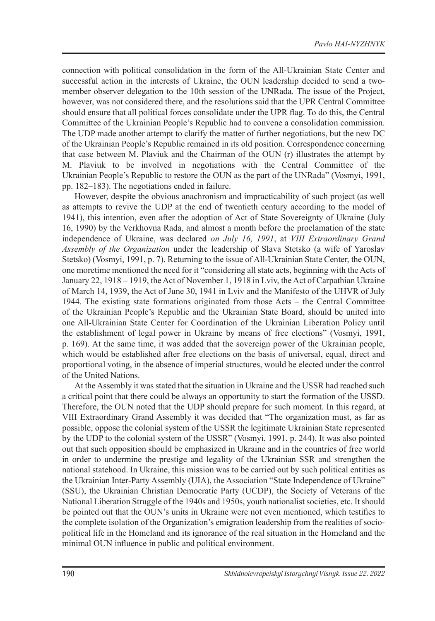connection with political consolidation in the form of the All-Ukrainian State Center and successful action in the interests of Ukraine, the OUN leadership decided to send a twomember observer delegation to the 10th session of the UNRada. The issue of the Project, however, was not considered there, and the resolutions said that the UPR Central Committee should ensure that all political forces consolidate under the UPR flag. To do this, the Central Committee of the Ukrainian People's Republic had to convene a consolidation commission. The UDP made another attempt to clarify the matter of further negotiations, but the new DC of the Ukrainian People's Republic remained in its old position. Correspondence concerning that case between M. Plaviuk and the Chairman of the OUN (r) illustrates the attempt by M. Plaviuk to be involved in negotiations with the Central Committee of the Ukrainian People's Republic to restore the OUN as the part of the UNRada" (Vosmyi, 1991, pp. 182–183). The negotiations ended in failure.

However, despite the obvious anachronism and impracticability of such project (as well as attempts to revive the UDP at the end of twentieth century according to the model of 1941), this intention, even after the adoption of Act of State Sovereignty of Ukraine (July 16, 1990) by the Verkhovna Rada, and almost a month before the proclamation of the state independence of Ukraine, was declared *on July 16, 1991*, at *VIII Extraordinary Grand Assembly of the Organization* under the leadership of Slava Stetsko (a wife of Yaroslav Stetsko) (Vosmyi, 1991, p. 7). Returning to the issue of All-Ukrainian State Center, the OUN, one moretime mentioned the need for it "considering all state acts, beginning with the Acts of January 22, 1918 – 1919, the Act of November 1, 1918 in Lviv, the Act of Carpathian Ukraine of March 14, 1939, the Act of June 30, 1941 in Lviv and the Manifesto of the UHVR of July 1944. The existing state formations originated from those Acts – the Central Committee of the Ukrainian People's Republic and the Ukrainian State Board, should be united into one All-Ukrainian State Center for Coordination of the Ukrainian Liberation Policy until the establishment of legal power in Ukraine by means of free elections" (Vosmyi, 1991, p. 169). At the same time, it was added that the sovereign power of the Ukrainian people, which would be established after free elections on the basis of universal, equal, direct and proportional voting, in the absence of imperial structures, would be elected under the control of the United Nations.

At the Assembly it was stated that the situation in Ukraine and the USSR had reached such a critical point that there could be always an opportunity to start the formation of the USSD. Therefore, the OUN noted that the UDP should prepare for such moment. In this regard, at VIII Extraordinary Grand Assembly it was decided that "The organization must, as far as possible, oppose the colonial system of the USSR the legitimate Ukrainian State represented by the UDP to the colonial system of the USSR" (Vosmyi, 1991, p. 244). It was also pointed out that such opposition should be emphasized in Ukraine and in the countries of free world in order to undermine the prestige and legality of the Ukrainian SSR and strengthen the national statehood. In Ukraine, this mission was to be carried out by such political entities as the Ukrainian Inter-Party Assembly (UIA), the Association "State Independence of Ukraine" (SSU), the Ukrainian Christian Democratic Party (UCDP), the Society of Veterans of the National Liberation Struggle of the 1940s and 1950s, youth nationalist societies, etc. It should be pointed out that the OUN's units in Ukraine were not even mentioned, which testifies to the complete isolation of the Organization's emigration leadership from the realities of sociopolitical life in the Homeland and its ignorance of the real situation in the Homeland and the minimal OUN influence in public and political environment.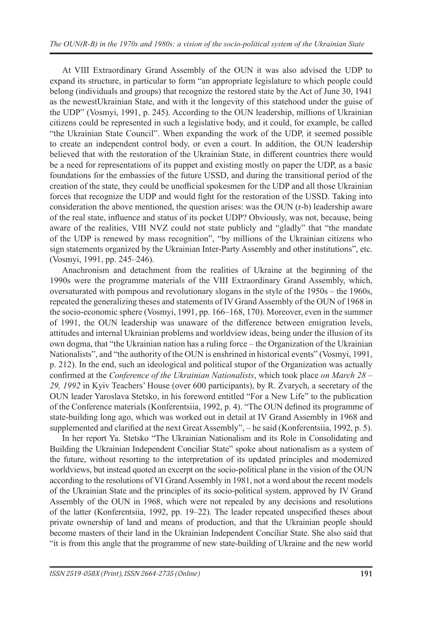At VIII Extraordinary Grand Assembly of the OUN it was also advised the UDP to expand its structure, in particular to form "an appropriate legislature to which people could belong (individuals and groups) that recognize the restored state by the Act of June 30, 1941 as the newestUkrainian State, and with it the longevity of this statehood under the guise of the UDP" (Vosmyi, 1991, p. 245). According to the OUN leadership, millions of Ukrainian citizens could be represented in such a legislative body, and it could, for example, be called "the Ukrainian State Council". When expanding the work of the UDP, it seemed possible to create an independent control body, or even a court. In addition, the OUN leadership believed that with the restoration of the Ukrainian State, in different countries there would be a need for representations of its puppet and existing mostly on paper the UDP, as a basic foundations for the embassies of the future USSD, and during the transitional period of the creation of the state, they could be unofficial spokesmen for the UDP and all those Ukrainian forces that recognize the UDP and would fight for the restoration of the USSD. Taking into consideration the above mentioned, the question arises: was the OUN (r-b) leadership aware of the real state, influence and status of its pocket UDP? Obviously, was not, because, being aware of the realities, VIII NVZ could not state publicly and "gladly" that "the mandate of the UDP is renewed by mass recognition", "by millions of the Ukrainian citizens who sign statements organized by the Ukrainian Inter-Party Assembly and other institutions", etc. (Vosmyi, 1991, pp. 245–246).

Anachronism and detachment from the realities of Ukraine at the beginning of the 1990s were the programme materials of the VIII Extraordinary Grand Assembly, which, oversaturated with pompous and revolutionary slogans in the style of the 1950s – the 1960s, repeated the generalizing theses and statements of IV Grand Assembly of the OUN of 1968 in the socio-economic sphere (Vosmyi, 1991, pp. 166–168, 170). Moreover, even in the summer of 1991, the OUN leadership was unaware of the difference between emigration levels, attitudes and internal Ukrainian problems and worldview ideas, being under the illusion of its own dogma, that "the Ukrainian nation has a ruling force – the Organization of the Ukrainian Nationalists", and "the authority of the OUN is enshrined in historical events" (Vosmyi, 1991, p. 212). In the end, such an ideological and political stupor of the Organization was actually confirmed at the *Conference of the Ukrainian Nationalists*, which took place *on March 28 – 29, 1992* in Kyiv Teachers' House (over 600 participants), by R. Zvarych, a secretary of the OUN leader Yaroslava Stetsko, in his foreword entitled "For a New Life" to the publication of the Conference materials (Konferentsiia, 1992, p. 4). "The OUN defined its programme of state-building long ago, which was worked out in detail at IV Grand Assembly in 1968 and supplemented and clarified at the next Great Assembly", – he said (Konferentsiia, 1992, p. 5).

In her report Ya. Stetsko "The Ukrainian Nationalism and its Role in Consolidating and Building the Ukrainian Independent Conciliar State" spoke about nationalism as a system of the future, without resorting to the interpretation of its updated principles and modernized worldviews, but instead quoted an excerpt on the socio-political plane in the vision of the OUN according to the resolutions of VI Grand Assembly in 1981, not a word about the recent models of the Ukrainian State and the principles of its socio-political system, approved by IV Grand Assembly of the OUN in 1968, which were not repealed by any decisions and resolutions of the latter (Konferentsiia, 1992, pp. 19–22). The leader repeated unspecified theses about private ownership of land and means of production, and that the Ukrainian people should become masters of their land in the Ukrainian Independent Conciliar State. She also said that "it is from this angle that the programme of new state-building of Ukraine and the new world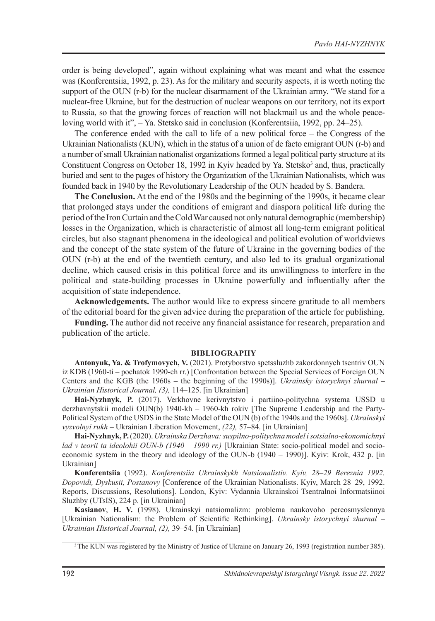order is being developed", again without explaining what was meant and what the essence was (Konferentsiia, 1992, p. 23). As for the military and security aspects, it is worth noting the support of the OUN (r-b) for the nuclear disarmament of the Ukrainian army. "We stand for a nuclear-free Ukraine, but for the destruction of nuclear weapons on our territory, not its export to Russia, so that the growing forces of reaction will not blackmail us and the whole peaceloving world with it", – Ya. Stetsko said in conclusion (Konferentsiia, 1992, pp. 24–25).

The conference ended with the call to life of a new political force – the Congress of the Ukrainian Nationalists (KUN), which in the status of a union of de facto emigrant OUN (r-b) and a number of small Ukrainian nationalist organizations formed a legal political party structure at its Constituent Congress on October 18, 1992 in Kyiv headed by Ya. Stetsko3 and, thus, practically buried and sent to the pages of history the Organization of the Ukrainian Nationalists, which was founded back in 1940 by the Revolutionary Leadership of the OUN headed by S. Bandera.

**The Conclusion.** At the end of the 1980s and the beginning of the 1990s, it became clear that prolonged stays under the conditions of emigrant and diaspora political life during the period of the Iron Curtain and the Cold War caused not only natural demographic (membership) losses in the Organization, which is characteristic of almost all long-term emigrant political circles, but also stagnant phenomena in the ideological and political evolution of worldviews and the concept of the state system of the future of Ukraine in the governing bodies of the OUN (r-b) at the end of the twentieth century, and also led to its gradual organizational decline, which caused crisis in this political force and its unwillingness to interfere in the political and state-building processes in Ukraine powerfully and influentially after the acquisition of state independence.

**Acknowledgements.** The author would like to express sincere gratitude to all members of the editorial board for the given advice during the preparation of the article for publishing.

**Funding.** The author did not receive any financial assistance for research, preparation and publication of the article.

#### **BIBLIOGRAPHY**

**Antonyuk, Ya. & Trofymovych, V.** (2021). Protyborstvo spetssluzhb zakordonnych tsentriv OUN iz KDB (1960-ti – pochatok 1990-ch rr.) [Confrontation between the Special Services of Foreign OUN Centers and the KGB (the 1960s – the beginning of the 1990s)]. *Ukrainsky istorychnyi zhurnal* – *Ukrainian Historical Journal, (3),* 114–125. [in Ukrainian]

**Hai-Nyzhnyk, P.** (2017). Verkhovne kerivnytstvo i partiino-politychna systema USSD u derzhavnytskii modeli OUN(b) 1940-kh – 1960-kh rokiv [The Supreme Leadership and the Party-Political System of the USDS in the State Model of the OUN (b) of the 1940s and the 1960s]. *Ukrainskyi vyzvolnyi rukh* – Ukrainian Liberation Movement, *(22),* 57–84. [in Ukrainian]

**Hai-Nyzhnyk, P.** (2020). *Ukrainska Derzhava: suspilno-politychna model i sotsialno-ekonomichnyi lad v teorii ta ideolohii OUN-b (1940 – 1990 rr.)* [Ukrainian State: socio-political model and socioeconomic system in the theory and ideology of the OUN-b (1940 – 1990)]. Kyiv: Krok, 432 p. [in Ukrainian]

**Konferentsiia** (1992). *Konferentsiia Ukrainskykh Natsionalistiv. Kyiv, 28–29 Bereznia 1992. Dopovidi, Dyskusii, Postanovy* [Conference of the Ukrainian Nationalists. Kyiv, March 28–29, 1992. Reports, Discussions, Resolutions]. London, Kyiv: Vydannia Ukrainskoi Tsentralnoi Informatsiinoi Sluzhby (UTsIS), 224 p. [in Ukrainian]

**Kаsianov**, **H. V.** (1998). Ukrainskyi natsiomalizm: problema naukovoho pereosmyslennya [Ukrainian Nationalism: the Problem of Scientific Rethinking]. *Ukrainsky istorychnyi zhurnal* – *Ukrainian Historical Journal, (2),* 39–54. [in Ukrainian]

<sup>&</sup>lt;sup>3</sup> The KUN was registered by the Ministry of Justice of Ukraine on January 26, 1993 (registration number 385).